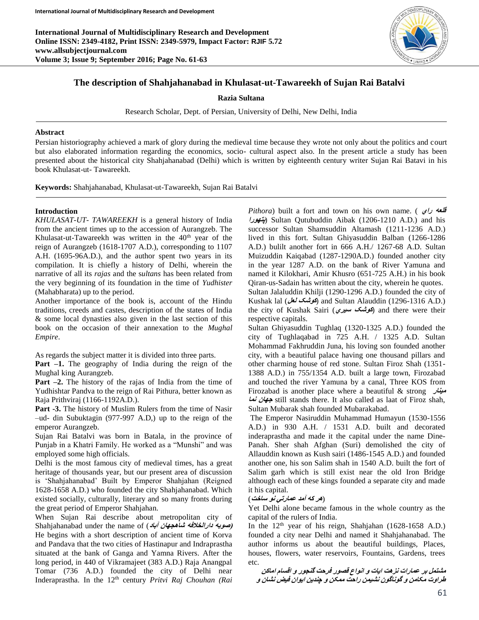**International Journal of Multidisciplinary Research and Development Online ISSN: 2349-4182, Print ISSN: 2349-5979, Impact Factor: RJIF 5.72 www.allsubjectjournal.com Volume 3; Issue 9; September 2016; Page No. 61-63**



# **The description of Shahjahanabad in Khulasat-ut-Tawareekh of Sujan Rai Batalvi**

#### **Razia Sultana**

Research Scholar, Dept. of Persian, University of Delhi, New Delhi, India

#### **Abstract**

Persian historiography achieved a mark of glory during the medieval time because they wrote not only about the politics and court but also elaborated information regarding the economics, socio- cultural aspect also. In the present article a study has been presented about the historical city Shahjahanabad (Delhi) which is written by eighteenth century writer Sujan Rai Batavi in his book Khulasat-ut- Tawareekh.

**Keywords:** Shahjahanabad, Khulasat-ut-Tawareekh, Sujan Rai Batalvi

### **Introduction**

*KHULASAT-UT- TAWAREEKH* is a general history of India from the ancient times up to the accession of Aurangzeb. The Khulasat-ut-Tawareekh was written in the  $40<sup>th</sup>$  year of the reign of Aurangzeb (1618-1707 A.D.), corresponding to 1107 A.H. (1695-96A.D.), and the author spent two years in its compilation. It is chiefly a history of Delhi, wherein the narrative of all its *rajas* and the s*ultans* has been related from the very beginning of its foundation in the time of *Yudhister* (Mahabharata) up to the period.

Another importance of the book is, account of the Hindu traditions, creeds and castes, description of the states of India & some local dynasties also given in the last section of this book on the occasion of their annexation to the *Mughal Empire*.

As regards the subject matter it is divided into three parts.

**Part –1.** The geography of India during the reign of the Mughal king Aurangzeb.

**Part –2.** The history of the rajas of India from the time of Yudhishtar Pandva to the reign of Rai Pithura, better known as Raja Prithviraj (1166-1192A.D.).

**Part -3.** The history of Muslim Rulers from the time of Nasir –ud- din Subuktagin (977-997 A.D,) up to the reign of the emperor Aurangzeb.

Sujan Rai Batalvi was born in Batala, in the province of Punjab in a Khatri Family. He worked as a "Munshi" and was employed some high officials.

Delhi is the most famous city of medieval times, has a great heritage of thousands year, but our present area of discussion is 'Shahjahanabad' Built by Emperor Shahjahan (Reigned 1628-1658 A.D.) who founded the city Shahjahanabad. Which existed socially, culturally, literary and so many fronts during the great period of Emperor Shahjahan.

When Sujan Rai describe about metropolitan city of Shahjahanabad under the name of (**آباد شاهجهان دارالخالفه صوبه)** He begins with a short description of ancient time of Korva and Pandava that the two cities of Hastinapur and Indraprastha situated at the bank of Ganga and Yamna Rivers. After the long period, in 440 of Vikramajeet (383 A.D.) Raja Anangpal Tomar (736 A.D.) founded the city of Delhi near Inderaprastha. In the 12<sup>th</sup> century *Pritvi Raj Chouhan (Rai* 

*Pithora*) built a fort and town on his own name. ( **راي قلعه پتهورا** (Sultan Qutubuddin Aibak (1206-1210 A.D.) and his successor Sultan Shamsuddin Altamash (1211-1236 A.D.) lived in this fort. Sultan Ghiyasuddin Balban (1266-1286 A.D.) bulilt another fort in 666 A.H./ 1267-68 A.D. Sultan Muizuddin Kaiqabad (1287-1290A.D.) founded another city in the year 1287 A.D. on the bank of River Yamuna and named it Kilokhari, Amir Khusro (651-725 A.H.) in his book Qiran-us-Sadain has written about the city, wherein he quotes. Sultan Jalaluddin Khilji (1290-1296 A.D.) founded the city of Kushak lal (**لعل کوشک** (and Sultan Alauddin (1296-1316 A.D.) the city of Kushak Sairi (**سيري کوشک** (and there were their respective capitals.

Sultan Ghiyasuddin Tughlaq (1320-1325 A.D.) founded the city of Tughlaqabad in 725 A.H. / 1325 A.D. Sultan Mohammad Fakhruddin Juna, his loving son founded another city, with a beautiful palace having one thousand pillars and other charming house of red stone. Sultan Firoz Shah (1351- 1388 A.D.) in 755/1354 A.D. built a large town, Firozabad and touched the river Yamuna by a canal, Three KOS from Firozabad is another place where a beautiful & strong **مينار نما جهان** still stands there. It also called as laat of Firoz shah, Sultan Mubarak shah founded Mubarakabad.

The Emperor Nasiruddin Muhammad Humayun (1530-1556 A.D.) in 930 A.H. / 1531 A.D. built and decorated inderaprastha and made it the capital under the name Dine-Panah. Sher shah Afghan (Suri) demolished the city of Allauddin known as Kush sairi (1486-1545 A.D.) and founded another one, his son Salim shah in 1540 A.D. built the fort of Salim garh which is still exist near the old Iron Bridge although each of these kings founded a separate city and made it his capital.

## (**هر که آمد عمارتي نو ساخت**)

Yet Delhi alone became famous in the whole country as the capital of the rulers of India.

In the  $12<sup>th</sup>$  year of his reign, Shahjahan (1628-1658 A.D.) founded a city near Delhi and named it Shahjahanabad. The author informs us about the beautiful buildings, Places, houses, flowers, water reservoirs, Fountains, Gardens, trees etc.

**مشتمل بر عمارات نزهت ايات و انواع قصور فرحت گنجور و اقسام اماکن طراوت مکامن و گوناگون نشيمن راحت ممکن و چندين ايوان فيض نشان و**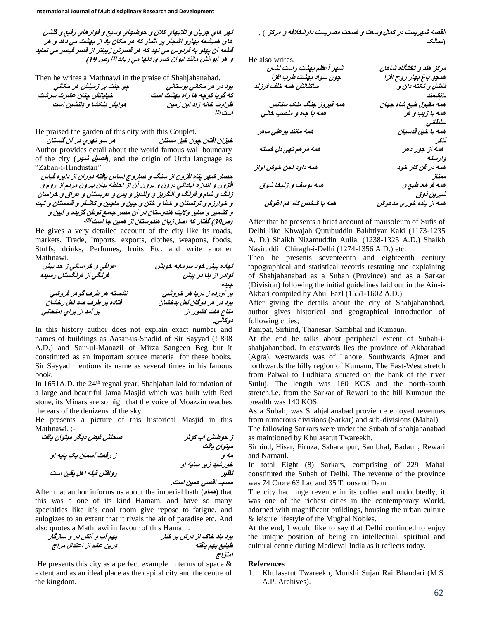**نهر هاي جريان و تالبهاي کالن و حوضهاي وسيع و فوارهاي رفيع و گلشن هاي هميشعه بهارو اشجار پر اثمار که هر مکان ياد از بهشت مي دهد و هر قطعه آن پهلو به فردوس مي نهد که هر قصرش زيباتر از قصر قيصر مي نمايد**  و هر ايوانش مانند ايوان کسري دلها مي ربايد<sup>[1]</sup> (ص 19)

Then he writes a Mathnawi in the praise of Shahjahanabad.

| چو جنّت بر زمینش هر مکانی | بوڊ در هر مکاني بوستاني      |
|---------------------------|------------------------------|
| خيابانش چنان عشرت سرشت    | که گویا کوچه ها راه بهشت است |
| هوایش دلکشا و دلنشین است  | طراوت خانه زاد این زمین      |
|                           | است ا <sup>2</sup> ا         |

He praised the garden of this city with this Couplet.

**خيزان افتان چون خيل مستان هر سو نهري در آن گلستان** Author provides detail about the world famous wall boundary of the city (**شهر فصيل**(, and the origin of Urdu language as "Zaban-i-Hindustan"

**حصار شهر پناه افزون از سنگ و صاروج اساس يافته دوران از دايره قياس افزون و اندازه آباداني درون و برون آن از احاطه بيان بيرون مردم از روم و زنگ و شام و فرنگ و انگريز و ولنديز و يمن و عربستان و عراق و خراسان و خوارزم و ترکستان و خطا و ختن و چين و ماچين و کاشغر و قلمستان و تبت و کشمير و ساير واليت هندوستان در آن مصر جامع توطن گزيده و آيين <sup>و</sup> )ص31( گفتار که اصل زبان هندوستان از همين جا است]3[.**

He gives a very detailed account of the city like its roads, markets, Trade, Imports, exports, clothes, weapons, foods, Stuffs, drinks, Perfumes, fruits Etc. and write another Mathnawi.

| عراقي و خراساني ز حد بيش  | تهاده پیش خود سرمایه خویش  |
|---------------------------|----------------------------|
| قرنگی از فرنگستان رسیده   | توادر از بنا در پیش        |
|                           | جيده                       |
| نشسته هر طرف گوهر فروشی   | بر آورده ز دريا هر خروشي   |
| فتاده بر طرف صد لعل رخشان | بود در هر دوگان لعل بدخشان |
| بر آمد از براي امتحاني    | متاع هفت کشور از           |
|                           | دونمانس.                   |

In this history author does not explain exact number and names of buildings as Aasar-us-Snadid of Sir Sayyad (! 898 A.D.) and Sair-ul-Manazil of Mirza Sangeen Beg but it constituted as an important source material for these books. Sir Sayyad mentions its name as several times in his famous book.

In 1651A.D. the 24<sup>th</sup> regnal year, Shahjahan laid foundation of a large and beautiful Jama Masjid which was built with Red stone, its Minars are so high that the voice of Moazzin reaches the ears of the denizens of the sky.

He presents a picture of this historical Masjid in this Mathnawi. ;-



After that author informs us about the imperial bath (حمام) that this was a one of its kind Hamam, and have so many specialties like it's cool room give repose to fatigue, and eulogizes to an extent that it rivals the air of paradise etc. And also quotes a Mathnawi in favour of this Hamam.

**بود باد خاک از درش بر کنار بهم آب و آتش در و سازگار طبايع بهم يافته درين عالم از اعتدال مزاج امتزاج**

He presents this city as a perfect example in terms of space  $\&$ extent and as an ideal place as the capital city and the centre of the kingdom.

**القصه شهريست در کمال وسعت و فسحت مصريست دارالخالفه و مرکز** ) . (**ممالک**

He also writes,

| شهر آعظم بهشت راست نشان | مرکز هند و تختگاه شاهان |
|-------------------------|-------------------------|
| چون سواد بهشت طرب افزا  | همچو باغ بهار روح افزا  |
| ساكنانش همه خلف فرزند   | فاضل و نکته دان و       |
|                         | دائشمند                 |
| همه فیروز جنگ ملک ستانس | همه مقبول طبع شاه جهان  |
| همه با جاه و منصب خانی  | همه با زیب و قر         |
|                         | سلطانی                  |
| همه مانند بوعلي ماهر    | همه با خيل قدسيان       |
|                         | تىرى                    |
| همه مرهم تهی دل خسته    | همه از جور دهر          |
|                         | وارسته                  |
| همه داود لحن خوش اواز   | همه در فن کار خود       |
|                         | ممتاز                   |
| همه يوسف و زليخا شوق    | همه قرهاد طبع و         |
|                         | شيرين ڏوق               |
| ههه با شخص کام هم آغوش  | همه از باده خوري مدهوش  |

After that he presents a brief account of mausoleum of Sufis of Delhi like Khwajah Qutubuddin Bakhtiyar Kaki (1173-1235 A, D.) Shaikh Nizamuddin Aulia, (1238-1325 A.D.) Shaikh Nasiruddin Chiragh-i-Delhi (1274-1356 A.D.) etc.

Then he presents seventeenth and eighteenth century topographical and statistical records restating and explaining of Shahjahanabad as a Subah (Province) and as a Sarkar (Division) following the initial guidelines laid out in the Ain-i-Akbari compiled by Abul Fazl (1551-1602 A.D.)

After giving the details about the city of Shahjahanabad, author gives historical and geographical introduction of following cities;

Panipat, Sirhind, Thanesar, Sambhal and Kumaun.

At the end he talks about peripheral extent of Subah-ishahjahanabad. In eastwards lies the province of Akbarabad (Agra), westwards was of Lahore, Southwards Ajmer and northwards the hilly region of Kumaun, The East-West stretch from Palwal to Ludhiana situated on the bank of the river Sutluj. The length was 160 KOS and the north-south stretch,i.e. from the Sarkar of Rewari to the hill Kumaun the breadth was 140 KOS.

As a Subah, was Shahjahanabad provience enjoyed revenues from numerous divisions (Sarkar) and sub-divisions (Mahal).

The fallowing Sarkars were under the Subah of shahjahanabad as maintioned by Khulasatut Twareekh.

Sirhind, Hisar, Firuza, Saharanpur, Sambhal, Badaun, Rewari and Narnaul.

In total Eight (8) Sarkars, comprising of 229 Mahal constituted the Subah of Delhi. The revenue of the province was 74 Crore 63 Lac and 35 Thousand Dam.

The city had huge revenue in its coffer and undoubtedly, it was one of the richest cities in the contemporary World, adorned with magnificent buildings, housing the urban culture & leisure lifestyle of the Mughal Nobles.

At the end, I would like to say that Delhi continued to enjoy the unique position of being an intellectual, spiritual and cultural centre during Medieval India as it reflects today.

### **References**

1. Khulasatut Twareekh, Munshi Sujan Rai Bhandari (M.S. A.P. Archives).